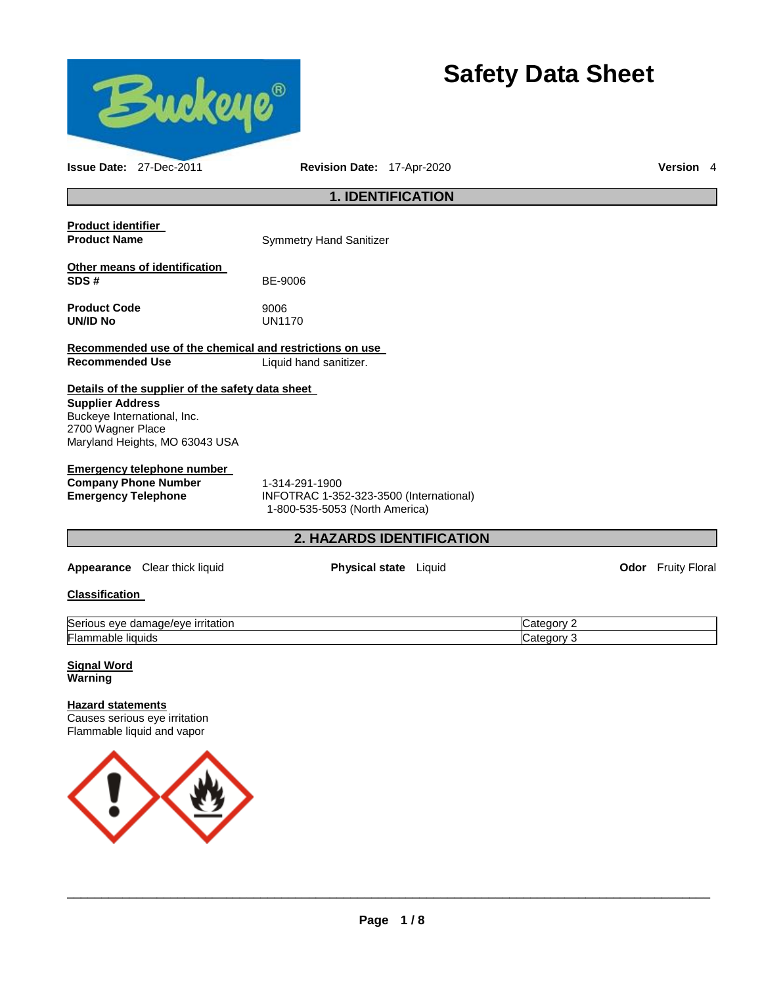

# **Safety Data Sheet**

**Issue Date:** 27-Dec-2011 **Revision Date:** 17-Apr-2020 **Version** 4

# **1. IDENTIFICATION**

| <b>Product identifier</b><br><b>Product Name</b>                                                                 | <b>Symmetry Hand Sanitizer</b> |
|------------------------------------------------------------------------------------------------------------------|--------------------------------|
| Other means of identification<br>SDS#                                                                            | BE-9006                        |
| <b>Product Code</b><br>UN/ID No                                                                                  | 9006<br>UN1170                 |
| Recommended use of the chemical and restrictions on use                                                          |                                |
| Recommended Use                                                                                                  | Liquid hand sanitizer.         |
| Details of the supplier of the safety data sheet<br><b>Supplier Address</b><br><b>Buckeve International Inc.</b> |                                |

Buckeye International, Inc. 2700 Wagner Place Maryland Heights, MO 63043 USA

### **Emergency telephone number**

**Company Phone Number** 1-314-291-1900

**Emergency Telephone** INFOTRAC 1-352-323-3500 (International) 1-800-535-5053 (North America)

# **2. HAZARDS IDENTIFICATION**

**Appearance** Clear thick liquid **Physical state** Liquid **Constanting Constanting Constanting Constanting Physical state Liquid Constanting Constanting Physical state Constanting Constanting Constanting Constanting Constant** 

#### **Classification**

| $\sim$<br><b>irritation</b><br>- - -<br>Serio<br>eve<br>ave/en<br>oar<br>$1 - 7$<br>нас<br>. . | .ат       |
|------------------------------------------------------------------------------------------------|-----------|
| Flan<br>Tiquids<br>парк                                                                        | नाम<br>זו |

**Signal Word Warning** 

# **Hazard statements**

Causes serious eye irritation Flammable liquid and vapor

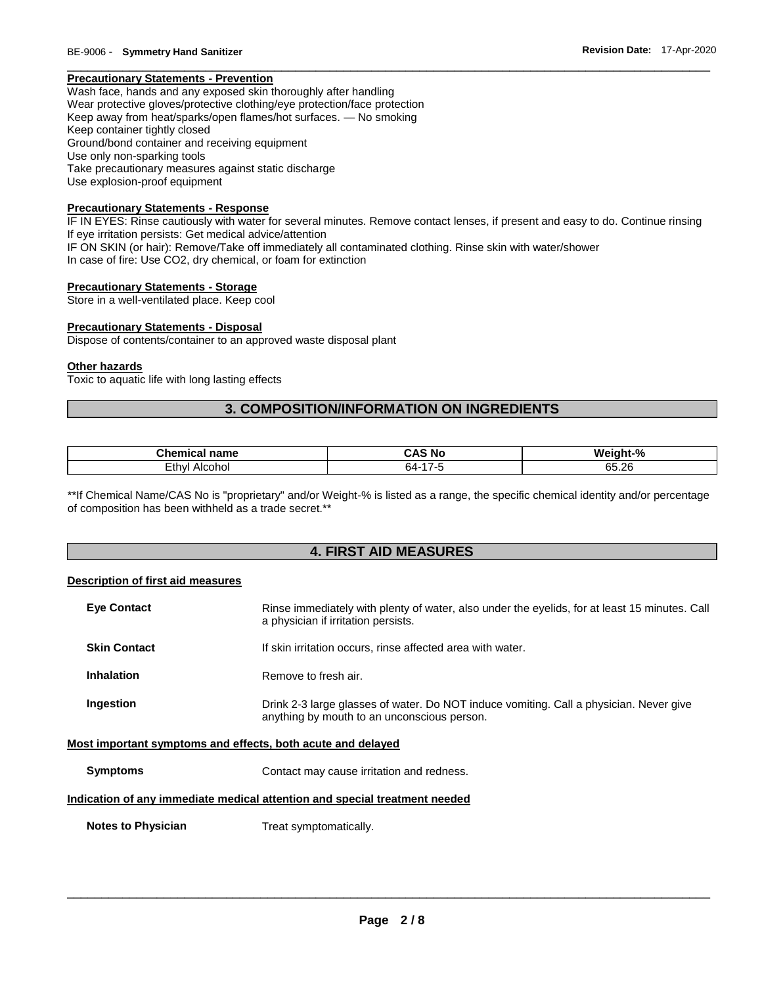# **Precautionary Statements - Prevention**

Wash face, hands and any exposed skin thoroughly after handling Wear protective gloves/protective clothing/eye protection/face protection Keep away from heat/sparks/open flames/hot surfaces. — No smoking Keep container tightly closed Ground/bond container and receiving equipment Use only non-sparking tools Take precautionary measures against static discharge Use explosion-proof equipment

### **Precautionary Statements - Response**

IF IN EYES: Rinse cautiously with water for several minutes. Remove contact lenses, if present and easy to do. Continue rinsing If eye irritation persists: Get medical advice/attention IF ON SKIN (or hair): Remove/Take off immediately all contaminated clothing. Rinse skin with water/shower In case of fire: Use CO2, dry chemical, or foam for extinction

\_\_\_\_\_\_\_\_\_\_\_\_\_\_\_\_\_\_\_\_\_\_\_\_\_\_\_\_\_\_\_\_\_\_\_\_\_\_\_\_\_\_\_\_\_\_\_\_\_\_\_\_\_\_\_\_\_\_\_\_\_\_\_\_\_\_\_\_\_\_\_\_\_\_\_\_\_\_\_\_\_\_\_\_\_\_\_\_\_\_\_\_\_

#### **Precautionary Statements - Storage**

Store in a well-ventilated place. Keep cool

#### **Precautionary Statements - Disposal**

Dispose of contents/container to an approved waste disposal plant

#### **Other hazards**

Toxic to aquatic life with long lasting effects

# **3. COMPOSITION/INFORMATION ON INGREDIENTS**

| $   -$<br>---<br>пане<br>нса | ÷Δ.<br>'NC | $\mathbf{0}$<br>W٤<br>nτ<br>70           |
|------------------------------|------------|------------------------------------------|
| - - -<br>thvi<br>onoi<br>--  | -64        | $\sim$ $\sim$<br>26<br>65.Z <sub>b</sub> |

\*\*If Chemical Name/CAS No is "proprietary" and/or Weight-% is listed as a range, the specific chemical identity and/or percentage of composition has been withheld as a trade secret.\*\*

# **4. FIRST AID MEASURES**

#### **Description of first aid measures**

| <b>Eve Contact</b>                                          | Rinse immediately with plenty of water, also under the eyelids, for at least 15 minutes. Call<br>a physician if irritation persists.  |
|-------------------------------------------------------------|---------------------------------------------------------------------------------------------------------------------------------------|
| <b>Skin Contact</b>                                         | If skin irritation occurs, rinse affected area with water.                                                                            |
| <b>Inhalation</b>                                           | Remove to fresh air.                                                                                                                  |
| Ingestion                                                   | Drink 2-3 large glasses of water. Do NOT induce vomiting. Call a physician. Never give<br>anything by mouth to an unconscious person. |
| Most important symptoms and effects, both acute and delayed |                                                                                                                                       |
| <b>Symptoms</b>                                             | Contact may cause irritation and redness.                                                                                             |
|                                                             | Indication of any immediate medical attention and special treatment needed                                                            |
| <b>Notes to Physician</b>                                   | Treat symptomatically.                                                                                                                |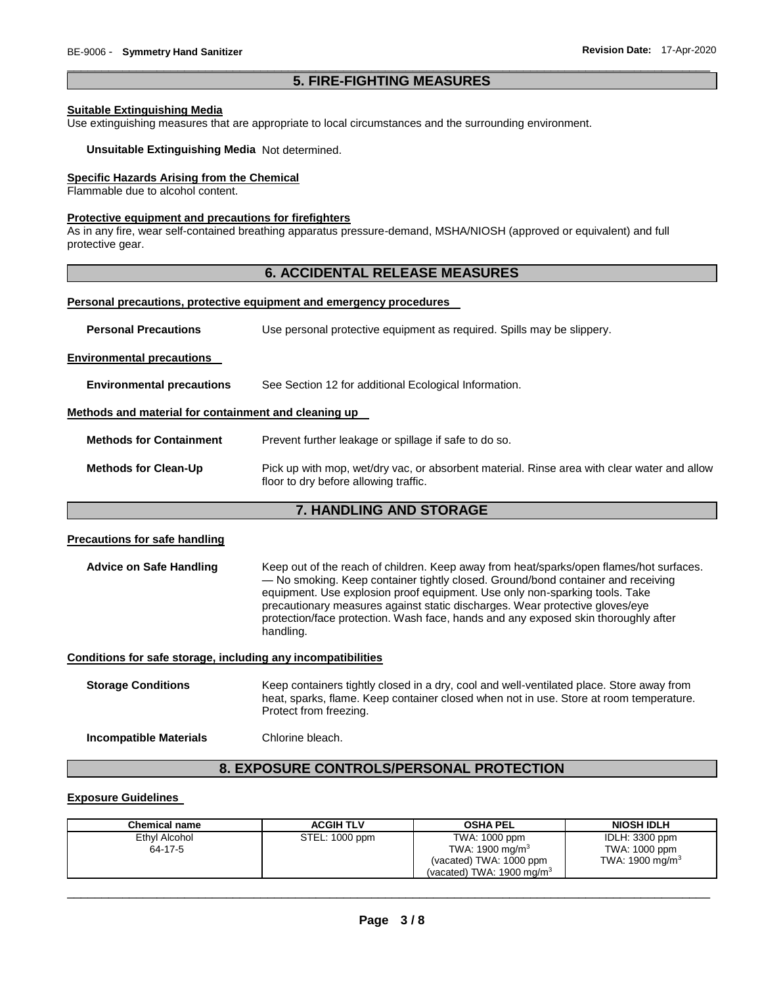### \_\_\_\_\_\_\_\_\_\_\_\_\_\_\_\_\_\_\_\_\_\_\_\_\_\_\_\_\_\_\_\_\_\_\_\_\_\_\_\_\_\_\_\_\_\_\_\_\_\_\_\_\_\_\_\_\_\_\_\_\_\_\_\_\_\_\_\_\_\_\_\_\_\_\_\_\_\_\_\_\_\_\_\_\_\_\_\_\_\_\_\_\_ **5. FIRE-FIGHTING MEASURES**

#### **Suitable Extinguishing Media**

Use extinguishing measures that are appropriate to local circumstances and the surrounding environment.

#### **Unsuitable Extinguishing Media** Not determined.

#### **Specific Hazards Arising from the Chemical**

Flammable due to alcohol content.

#### **Protective equipment and precautions for firefighters**

As in any fire, wear self-contained breathing apparatus pressure-demand, MSHA/NIOSH (approved or equivalent) and full protective gear.

# **6. ACCIDENTAL RELEASE MEASURES**

#### **Personal precautions, protective equipment and emergency procedures**

| <b>Personal Precautions</b> | Use personal protective equipment as required. Spills may be slippery. |
|-----------------------------|------------------------------------------------------------------------|
|-----------------------------|------------------------------------------------------------------------|

#### **Environmental precautions**

**Environmental precautions** See Section 12 for additional Ecological Information.

#### **Methods and material for containment and cleaning up**

**Methods for Clean-Up** Pick up with mop, wet/dry vac, or absorbent material. Rinse area with clear water and allow floor to dry before allowing traffic.

### **7. HANDLING AND STORAGE**

#### **Precautions for safe handling**

Advice on Safe Handling **Keep out of the reach of children. Keep away from heat/sparks/open flames/hot surfaces.** — No smoking. Keep container tightly closed. Ground/bond container and receiving equipment. Use explosion proof equipment. Use only non-sparking tools. Take precautionary measures against static discharges. Wear protective gloves/eye protection/face protection. Wash face, hands and any exposed skin thoroughly after handling.

#### **Conditions for safe storage, including any incompatibilities**

**Storage Conditions** Keep containers tightly closed in a dry, cool and well-ventilated place. Store away from heat, sparks, flame. Keep container closed when not in use. Store at room temperature. Protect from freezing.

**Incompatible Materials** Chlorine bleach.

# **8. EXPOSURE CONTROLS/PERSONAL PROTECTION**

#### **Exposure Guidelines**

| <b>Chemical name</b>     | <b>ACGIH TLV</b> | <b>OSHA PEL</b>                                                                                                | <b>NIOSH IDLH</b>                                              |
|--------------------------|------------------|----------------------------------------------------------------------------------------------------------------|----------------------------------------------------------------|
| Ethyl Alcohol<br>64-17-5 | STEL: 1000 ppm   | TWA: 1000 ppm<br>TWA: $1900 \text{ mg/m}^3$<br>(vacated) TWA: 1000 ppm<br>(vacated) TWA: $1900 \text{ mg/m}^3$ | IDLH: 3300 ppm<br>TWA: 1000 ppm<br>TWA: 1900 mg/m <sup>3</sup> |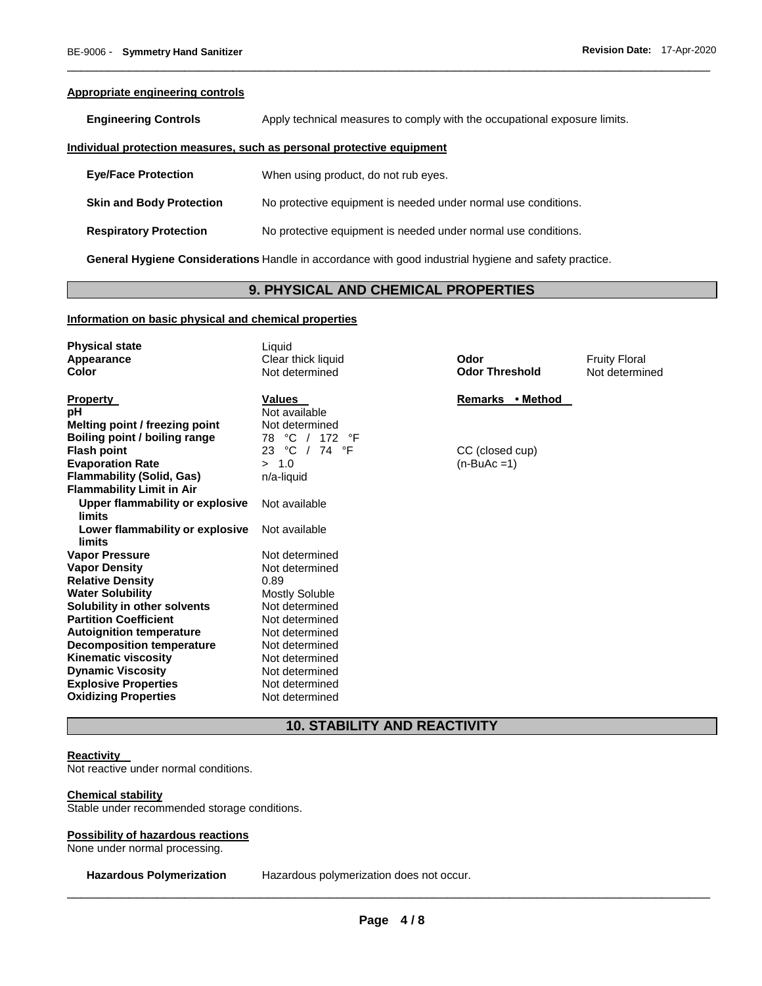#### **Appropriate engineering controls**

**Engineering Controls Apply technical measures to comply with the occupational exposure limits.** 

\_\_\_\_\_\_\_\_\_\_\_\_\_\_\_\_\_\_\_\_\_\_\_\_\_\_\_\_\_\_\_\_\_\_\_\_\_\_\_\_\_\_\_\_\_\_\_\_\_\_\_\_\_\_\_\_\_\_\_\_\_\_\_\_\_\_\_\_\_\_\_\_\_\_\_\_\_\_\_\_\_\_\_\_\_\_\_\_\_\_\_\_\_

#### **Individual protection measures, such as personal protective equipment**

| <b>Eye/Face Protection</b> | When using product, do not rub eyes. |
|----------------------------|--------------------------------------|
|----------------------------|--------------------------------------|

**Skin and Body Protection No protective equipment is needed under normal use conditions.** 

**Respiratory Protection** No protective equipment is needed under normal use conditions.

**General Hygiene Considerations** Handle in accordance with good industrial hygiene and safety practice.

# **9. PHYSICAL AND CHEMICAL PROPERTIES**

#### **Information on basic physical and chemical properties**

| <b>Physical state</b><br><b>Appearance</b> | Liquid<br>Clear thick liquid | Odor                  | <b>Fruity Floral</b> |
|--------------------------------------------|------------------------------|-----------------------|----------------------|
| <b>Color</b>                               | Not determined               | <b>Odor Threshold</b> | Not determined       |
| <b>Property</b>                            | <b>Values</b>                | Remarks • Method      |                      |
| рH                                         | Not available                |                       |                      |
| Melting point / freezing point             | Not determined               |                       |                      |
| Boiling point / boiling range              | 78 °C / 172 °F               |                       |                      |
| <b>Flash point</b>                         | 23 °C / 74 °F                | CC (closed cup)       |                      |
| <b>Evaporation Rate</b>                    | > 1.0                        | $(n-BuAc=1)$          |                      |
| <b>Flammability (Solid, Gas)</b>           | n/a-liquid                   |                       |                      |
| <b>Flammability Limit in Air</b>           |                              |                       |                      |
| Upper flammability or explosive<br>limits  | Not available                |                       |                      |
| Lower flammability or explosive<br>limits  | Not available                |                       |                      |
| <b>Vapor Pressure</b>                      | Not determined               |                       |                      |
| <b>Vapor Density</b>                       | Not determined               |                       |                      |
| <b>Relative Density</b>                    | 0.89                         |                       |                      |
| <b>Water Solubility</b>                    | <b>Mostly Soluble</b>        |                       |                      |
| Solubility in other solvents               | Not determined               |                       |                      |
| <b>Partition Coefficient</b>               | Not determined               |                       |                      |
| <b>Autoignition temperature</b>            | Not determined               |                       |                      |
| <b>Decomposition temperature</b>           | Not determined               |                       |                      |
| <b>Kinematic viscosity</b>                 | Not determined               |                       |                      |
| <b>Dynamic Viscosity</b>                   | Not determined               |                       |                      |
| <b>Explosive Properties</b>                | Not determined               |                       |                      |
| <b>Oxidizing Properties</b>                | Not determined               |                       |                      |

# **10. STABILITY AND REACTIVITY**

#### **Reactivity**

Not reactive under normal conditions.

# **Chemical stability**

Stable under recommended storage conditions.

#### **Possibility of hazardous reactions**

None under normal processing.

**Hazardous Polymerization** Hazardous polymerization does not occur.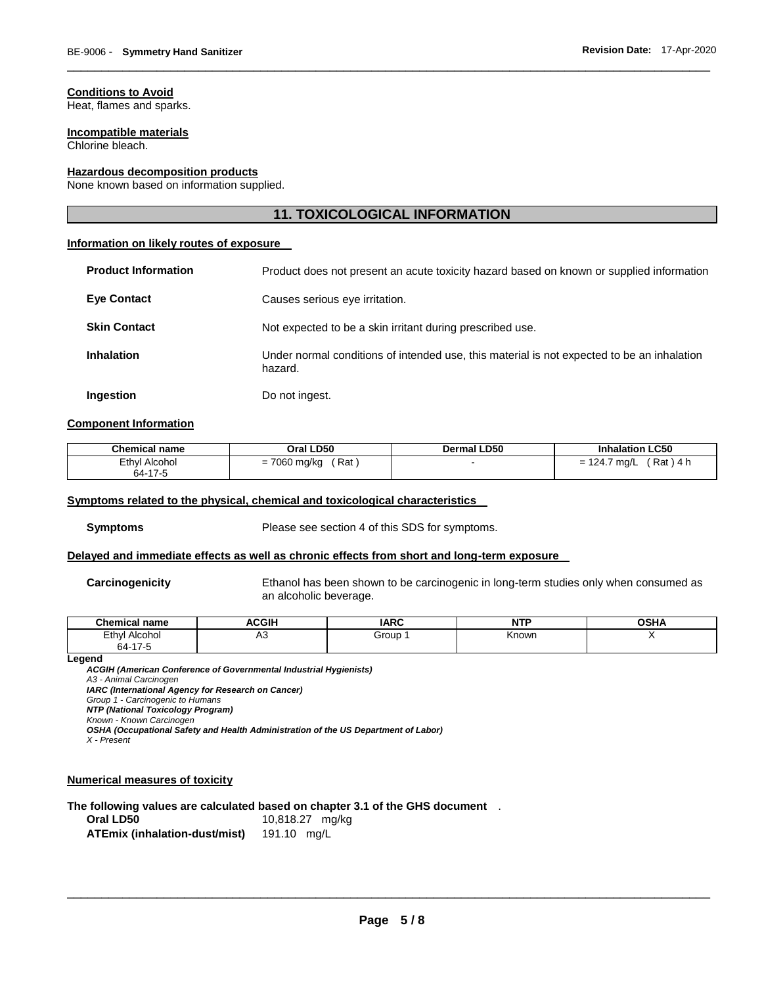### **Conditions to Avoid**

Heat, flames and sparks.

#### **Incompatible materials**

Chlorine bleach.

#### **Hazardous decomposition products**

None known based on information supplied.

# **11. TOXICOLOGICAL INFORMATION**

\_\_\_\_\_\_\_\_\_\_\_\_\_\_\_\_\_\_\_\_\_\_\_\_\_\_\_\_\_\_\_\_\_\_\_\_\_\_\_\_\_\_\_\_\_\_\_\_\_\_\_\_\_\_\_\_\_\_\_\_\_\_\_\_\_\_\_\_\_\_\_\_\_\_\_\_\_\_\_\_\_\_\_\_\_\_\_\_\_\_\_\_\_

#### **Information on likely routes of exposure**

| <b>Product Information</b> | Product does not present an acute toxicity hazard based on known or supplied information              |  |  |
|----------------------------|-------------------------------------------------------------------------------------------------------|--|--|
| <b>Eye Contact</b>         | Causes serious eye irritation.                                                                        |  |  |
| <b>Skin Contact</b>        | Not expected to be a skin irritant during prescribed use.                                             |  |  |
| <b>Inhalation</b>          | Under normal conditions of intended use, this material is not expected to be an inhalation<br>hazard. |  |  |
| Ingestion                  | Do not ingest.                                                                                        |  |  |

#### **Component Information**

| <b>Chemical name</b> | Oral LD50    | <b>Dermal LD50</b> | <b>Inhalation LC50</b> |
|----------------------|--------------|--------------------|------------------------|
| Ethyl Alcohol        | Rat          |                    | $'$ Rat $)$ 4 $\ldots$ |
| 64-17-5              | = 7060 mg/kg |                    | $= 124.7$ mg/L         |

#### **Symptoms related to the physical, chemical and toxicological characteristics**

**Symptoms** Please see section 4 of this SDS for symptoms.

#### **Delayed and immediate effects as well as chronic effects from short and long-term exposure**

**Carcinogenicity** Ethanol has been shown to be carcinogenic in long-term studies only when consumed as an alcoholic beverage.

| $R$ hamias<br>name<br>еннса | CCIU | I A D C        | <b>NTP</b> | <b>OCU</b> |
|-----------------------------|------|----------------|------------|------------|
| Ethyl<br>Alcohol<br>.       | A3   | Group<br>- - - | Knowr      |            |
| 47<br>$64-1$<br>7-0         |      |                |            |            |

#### **Legend**

*ACGIH (American Conference of Governmental Industrial Hygienists) A3 - Animal Carcinogen IARC (International Agency for Research on Cancer) Group 1 - Carcinogenic to Humans NTP (National Toxicology Program) Known - Known Carcinogen OSHA (Occupational Safety and Health Administration of the US Department of Labor)*

*X - Present* 

# **Numerical measures of toxicity**

**The following values are calculated based on chapter 3.1 of the GHS document** .

| Oral LD50                     | 10,818.27 mg/kg |
|-------------------------------|-----------------|
| ATEmix (inhalation-dust/mist) | 191.10 mg/L     |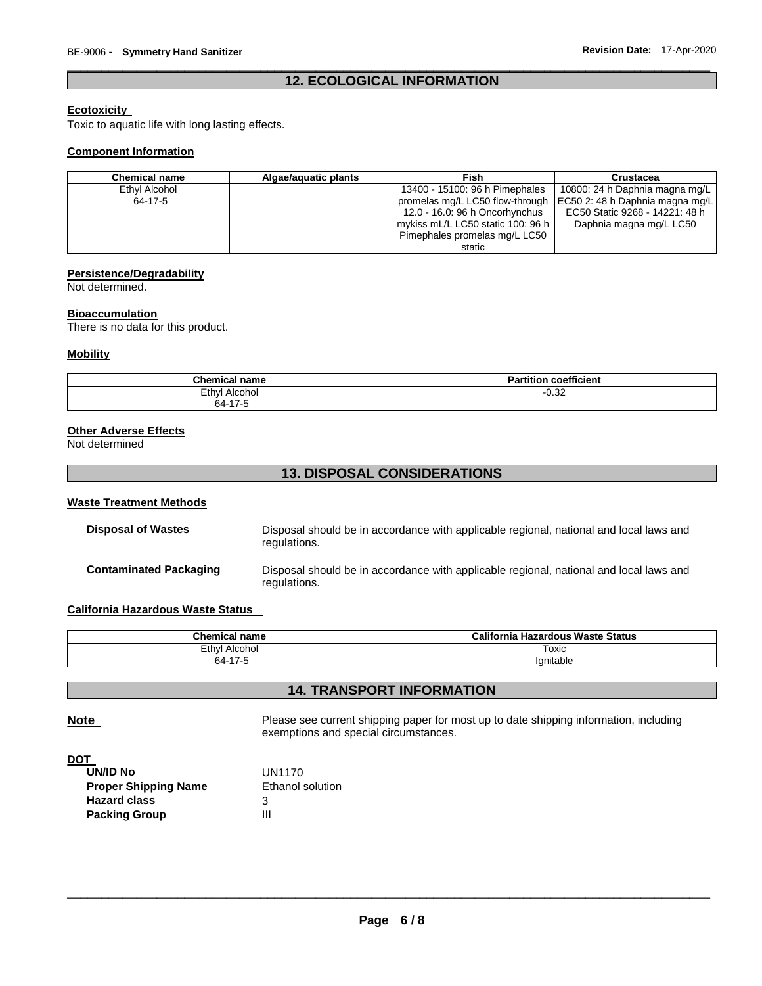# \_\_\_\_\_\_\_\_\_\_\_\_\_\_\_\_\_\_\_\_\_\_\_\_\_\_\_\_\_\_\_\_\_\_\_\_\_\_\_\_\_\_\_\_\_\_\_\_\_\_\_\_\_\_\_\_\_\_\_\_\_\_\_\_\_\_\_\_\_\_\_\_\_\_\_\_\_\_\_\_\_\_\_\_\_\_\_\_\_\_\_\_\_ **12. ECOLOGICAL INFORMATION**

# **Ecotoxicity**

Toxic to aquatic life with long lasting effects.

#### **Component Information**

| <b>Chemical name</b> | Algae/aguatic plants | <b>Fish</b>                       | Crustacea                                                         |
|----------------------|----------------------|-----------------------------------|-------------------------------------------------------------------|
| Ethyl Alcohol        |                      | 13400 - 15100: 96 h Pimephales    | 10800: 24 h Daphnia magna mg/L                                    |
| 64-17-5              |                      |                                   | promelas mg/L LC50 flow-through   EC50 2: 48 h Daphnia magna mg/L |
|                      |                      | 12.0 - 16.0: 96 h Oncorhynchus    | EC50 Static 9268 - 14221: 48 h                                    |
|                      |                      | mykiss mL/L LC50 static 100: 96 h | Daphnia magna mg/L LC50                                           |
|                      |                      | Pimephales promelas mg/L LC50     |                                                                   |
|                      |                      | static                            |                                                                   |

# **Persistence/Degradability**

Not determined.

#### **Bioaccumulation**

There is no data for this product.

#### **Mobility**

| <b>Chemical name</b> | coefficient<br>$\cdot$<br>Partition |
|----------------------|-------------------------------------|
| Ethyl<br>Alcohol     | 0.25<br>-∪.ა∠                       |
| $64-17$              |                                     |

# **Other Adverse Effects**

Not determined

# **13. DISPOSAL CONSIDERATIONS**

#### **Waste Treatment Methods**

| <b>Disposal of Wastes</b>     | Disposal should be in accordance with applicable regional, national and local laws and<br>regulations. |
|-------------------------------|--------------------------------------------------------------------------------------------------------|
| <b>Contaminated Packaging</b> | Disposal should be in accordance with applicable regional, national and local laws and<br>regulations. |

# **California Hazardous Waste Status**

| <b>Chemical name</b>     | California<br><b>Hazardous Waste Status</b> |  |  |
|--------------------------|---------------------------------------------|--|--|
| Ethyl<br>Alcohol<br>.    | Toxic                                       |  |  |
| $\rightarrow$<br>64-<br> | $\cdot$ .<br>lanitable                      |  |  |

# **14. TRANSPORT INFORMATION**

**Note** Please see current shipping paper for most up to date shipping information, including exemptions and special circumstances.

#### **DOT**

| UN/ID No                    | UN1170           |
|-----------------------------|------------------|
| <b>Proper Shipping Name</b> | Ethanol solution |
| <b>Hazard class</b>         | З                |
| <b>Packing Group</b>        | Ш                |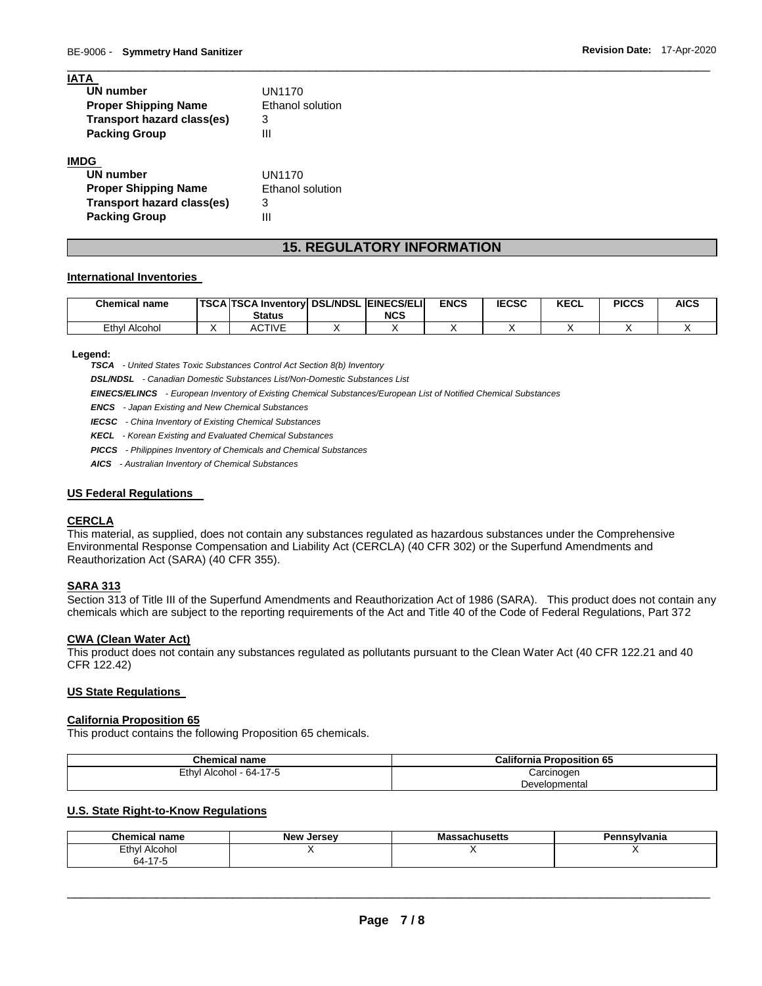| UN1170           |
|------------------|
| Ethanol solution |
| 3                |
| Ш                |
|                  |
| UN1170           |
| Ethanol solution |
| З                |
| Ш                |
|                  |

# **15. REGULATORY INFORMATION**

\_\_\_\_\_\_\_\_\_\_\_\_\_\_\_\_\_\_\_\_\_\_\_\_\_\_\_\_\_\_\_\_\_\_\_\_\_\_\_\_\_\_\_\_\_\_\_\_\_\_\_\_\_\_\_\_\_\_\_\_\_\_\_\_\_\_\_\_\_\_\_\_\_\_\_\_\_\_\_\_\_\_\_\_\_\_\_\_\_\_\_\_\_

#### **International Inventories**

| <b>Chemical name</b> | <b>TSCA TSCA Inventory DSL/NDSL  </b><br><b>Status</b> | <b>EINECS/ELI</b><br><b>NCS</b> | <b>ENCS</b> | <b>IECSC</b> | <b>KECL</b> | <b>PICCS</b> | <b>AICS</b> |
|----------------------|--------------------------------------------------------|---------------------------------|-------------|--------------|-------------|--------------|-------------|
| Ethyl<br>Alcohol     | <b>ACTIVE</b>                                          |                                 |             |              |             |              |             |

#### **Legend:**

**IATA** 

*TSCA - United States Toxic Substances Control Act Section 8(b) Inventory* 

*DSL/NDSL - Canadian Domestic Substances List/Non-Domestic Substances List* 

*EINECS/ELINCS - European Inventory of Existing Chemical Substances/European List of Notified Chemical Substances* 

*ENCS - Japan Existing and New Chemical Substances* 

*IECSC - China Inventory of Existing Chemical Substances* 

*KECL - Korean Existing and Evaluated Chemical Substances* 

*PICCS - Philippines Inventory of Chemicals and Chemical Substances* 

*AICS - Australian Inventory of Chemical Substances* 

#### **US Federal Regulations**

# **CERCLA**

This material, as supplied, does not contain any substances regulated as hazardous substances under the Comprehensive Environmental Response Compensation and Liability Act (CERCLA) (40 CFR 302) or the Superfund Amendments and Reauthorization Act (SARA) (40 CFR 355).

# **SARA 313**

Section 313 of Title III of the Superfund Amendments and Reauthorization Act of 1986 (SARA). This product does not contain any chemicals which are subject to the reporting requirements of the Act and Title 40 of the Code of Federal Regulations, Part 372

#### **CWA (Clean Water Act)**

This product does not contain any substances regulated as pollutants pursuant to the Clean Water Act (40 CFR 122.21 and 40 CFR 122.42)

# **US State Regulations**

#### **California Proposition 65**

This product contains the following Proposition 65 chemicals.

| <b>Chemical name</b>         | <b>California Proposition 65</b> |
|------------------------------|----------------------------------|
| Ethyl<br>l Alcohol - 64-17-5 | Carcinogen                       |
|                              | Developmental                    |

#### **U.S. State Right-to-Know Regulations**

| <b>Chemical name</b>   | New Jersey | <b>Massachusetts</b> | Pennsvlvania |
|------------------------|------------|----------------------|--------------|
| Ethyl<br>Alcohol<br>__ |            |                      |              |
| 64-17-5<br>$\sim$      |            |                      |              |